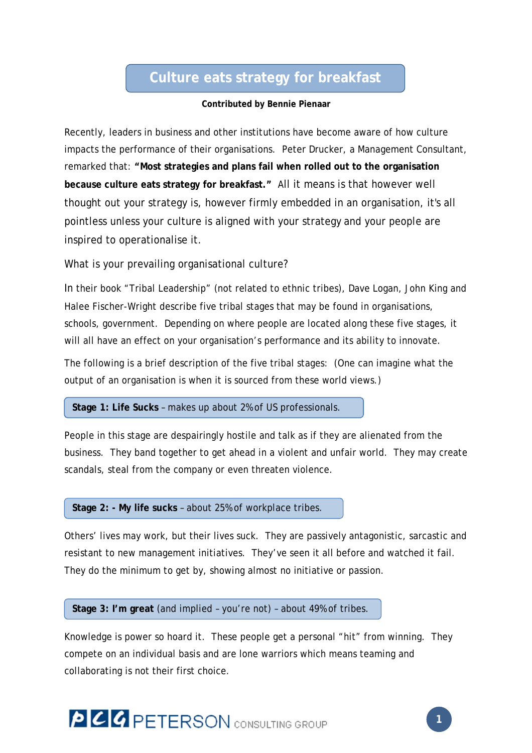## **Culture eats strategy for breakfast**

#### **Contributed by Bennie Pienaar**

Recently, leaders in business and other institutions have become aware of how culture impacts the performance of their organisations. Peter Drucker, a Management Consultant, remarked that: **"Most strategies and plans fail when rolled out to the organisation because culture eats strategy for breakfast."** All it means is that however well thought out your strategy is, however firmly embedded in an organisation, it's all pointless unless your culture is aligned with your strategy and your people are inspired to operationalise it.

What is your prevailing organisational culture?

In their book "Tribal Leadership" (not related to ethnic tribes), Dave Logan, John King and Halee Fischer-Wright describe five tribal stages that may be found in organisations, schools, government. Depending on where people are located along these five stages, it will all have an effect on your organisation's performance and its ability to innovate.

The following is a brief description of the five tribal stages: (One can imagine what the output of an organisation is when it is sourced from these world views.)

**Stage 1: Life Sucks** – makes up about 2% of US professionals.

People in this stage are despairingly hostile and talk as if they are alienated from the business. They band together to get ahead in a violent and unfair world. They may create scandals, steal from the company or even threaten violence.

## **Stage 2: - My life sucks** – about 25% of workplace tribes.

Others' lives may work, but their lives suck. They are passively antagonistic, sarcastic and resistant to new management initiatives. They've seen it all before and watched it fail. They do the minimum to get by, showing almost no initiative or passion.

## **Stage 3: I'm great** (and implied – you're not) – about 49% of tribes.

Knowledge is power so hoard it. These people get a personal "hit" from winning. They compete on an individual basis and are lone warriors which means teaming and collaborating is not their first choice.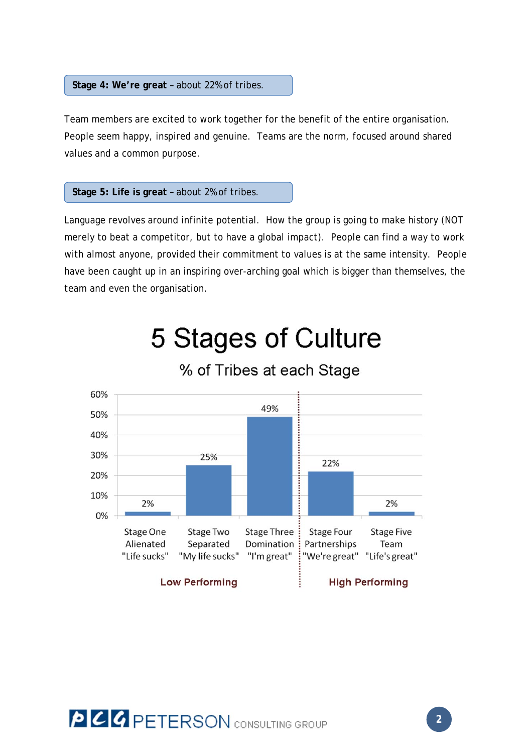#### **Stage 4: We're great** – about 22% of tribes.

Team members are excited to work together for the benefit of the entire organisation. People seem happy, inspired and genuine. Teams are the norm, focused around shared values and a common purpose.

#### **Stage 5: Life is great** – about 2% of tribes.

Language revolves around infinite potential. How the group is going to make history (NOT merely to beat a competitor, but to have a global impact). People can find a way to work with almost anyone, provided their commitment to values is at the same intensity. People have been caught up in an inspiring over-arching goal which is bigger than themselves, the team and even the organisation.

# 5 Stages of Culture



## % of Tribes at each Stage